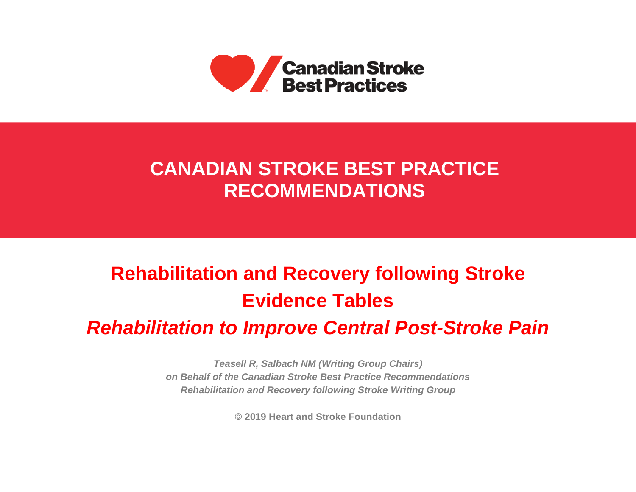

## **CANADIAN STROKE BEST PRACTICE RECOMMENDATIONS**

# **Rehabilitation and Recovery following Stroke Evidence Tables**

## *Rehabilitation to Improve Central Post-Stroke Pain*

*Teasell R, Salbach NM (Writing Group Chairs) on Behalf of the Canadian Stroke Best Practice Recommendations Rehabilitation and Recovery following Stroke Writing Group*

**© 2019 Heart and Stroke Foundation**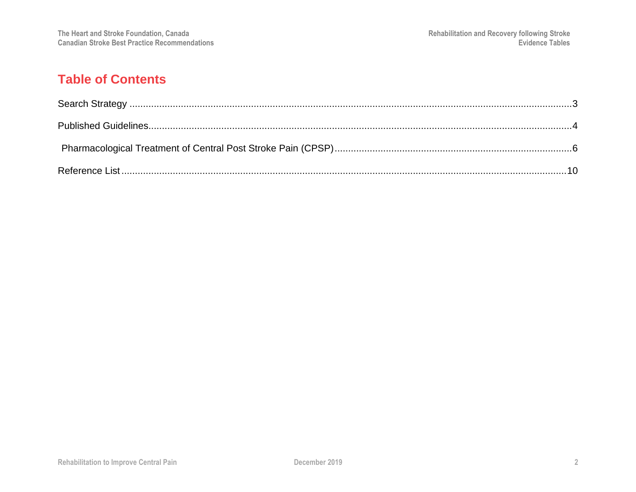#### **Table of Contents**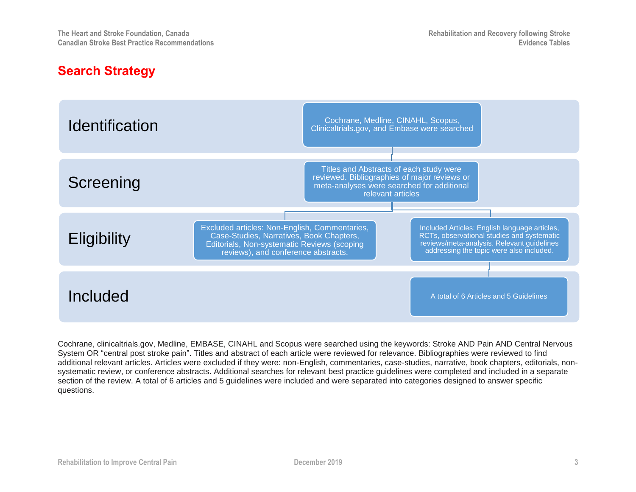### <span id="page-2-0"></span>**Search Strategy**



Cochrane, clinicaltrials.gov, Medline, EMBASE, CINAHL and Scopus were searched using the keywords: Stroke AND Pain AND Central Nervous System OR "central post stroke pain". Titles and abstract of each article were reviewed for relevance. Bibliographies were reviewed to find additional relevant articles. Articles were excluded if they were: non-English, commentaries, case-studies, narrative, book chapters, editorials, nonsystematic review, or conference abstracts. Additional searches for relevant best practice guidelines were completed and included in a separate section of the review. A total of 6 articles and 5 guidelines were included and were separated into categories designed to answer specific questions.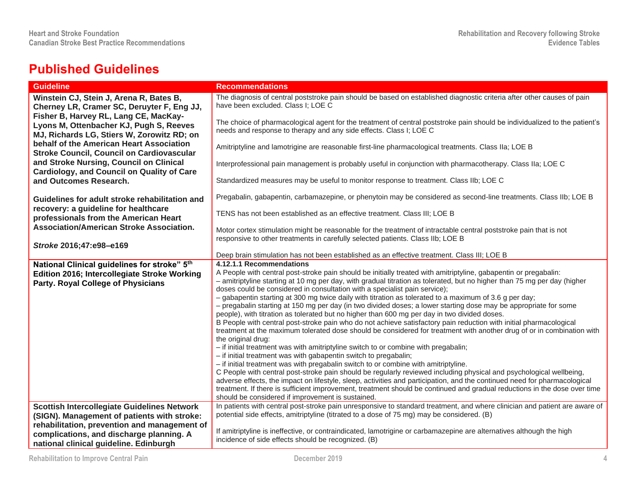#### <span id="page-3-0"></span>**Published Guidelines**

| <b>Guideline</b>                                                                             | <b>Recommendations</b>                                                                                                                                                                                           |
|----------------------------------------------------------------------------------------------|------------------------------------------------------------------------------------------------------------------------------------------------------------------------------------------------------------------|
| Winstein CJ, Stein J, Arena R, Bates B,                                                      | The diagnosis of central poststroke pain should be based on established diagnostic criteria after other causes of pain                                                                                           |
| Cherney LR, Cramer SC, Deruyter F, Eng JJ,                                                   | have been excluded. Class I; LOE C                                                                                                                                                                               |
| Fisher B, Harvey RL, Lang CE, MacKay-                                                        | The choice of pharmacological agent for the treatment of central poststroke pain should be individualized to the patient's                                                                                       |
| Lyons M, Ottenbacher KJ, Pugh S, Reeves                                                      | needs and response to therapy and any side effects. Class I; LOE C                                                                                                                                               |
| MJ, Richards LG, Stiers W, Zorowitz RD; on                                                   |                                                                                                                                                                                                                  |
| behalf of the American Heart Association<br><b>Stroke Council, Council on Cardiovascular</b> | Amitriptyline and lamotrigine are reasonable first-line pharmacological treatments. Class IIa; LOE B                                                                                                             |
| and Stroke Nursing, Council on Clinical<br><b>Cardiology, and Council on Quality of Care</b> | Interprofessional pain management is probably useful in conjunction with pharmacotherapy. Class IIa; LOE C                                                                                                       |
| and Outcomes Research.                                                                       | Standardized measures may be useful to monitor response to treatment. Class IIb; LOE C                                                                                                                           |
| Guidelines for adult stroke rehabilitation and                                               | Pregabalin, gabapentin, carbamazepine, or phenytoin may be considered as second-line treatments. Class IIb; LOE B                                                                                                |
| recovery: a guideline for healthcare<br>professionals from the American Heart                | TENS has not been established as an effective treatment. Class III; LOE B                                                                                                                                        |
| <b>Association/American Stroke Association.</b>                                              | Motor cortex stimulation might be reasonable for the treatment of intractable central poststroke pain that is not                                                                                                |
|                                                                                              | responsive to other treatments in carefully selected patients. Class IIb; LOE B                                                                                                                                  |
| Stroke 2016;47:e98-e169                                                                      |                                                                                                                                                                                                                  |
|                                                                                              | Deep brain stimulation has not been established as an effective treatment. Class III; LOE B<br>4.12.1.1 Recommendations                                                                                          |
| National Clinical guidelines for stroke" 5th<br>Edition 2016; Intercollegiate Stroke Working | A People with central post-stroke pain should be initially treated with amitriptyline, gabapentin or pregabalin:                                                                                                 |
| Party. Royal College of Physicians                                                           | - amitriptyline starting at 10 mg per day, with gradual titration as tolerated, but no higher than 75 mg per day (higher                                                                                         |
|                                                                                              | doses could be considered in consultation with a specialist pain service);                                                                                                                                       |
|                                                                                              | $-$ gabapentin starting at 300 mg twice daily with titration as tolerated to a maximum of 3.6 g per day;                                                                                                         |
|                                                                                              | - pregabalin starting at 150 mg per day (in two divided doses; a lower starting dose may be appropriate for some<br>people), with titration as tolerated but no higher than 600 mg per day in two divided doses. |
|                                                                                              | B People with central post-stroke pain who do not achieve satisfactory pain reduction with initial pharmacological                                                                                               |
|                                                                                              | treatment at the maximum tolerated dose should be considered for treatment with another drug of or in combination with                                                                                           |
|                                                                                              | the original drug:                                                                                                                                                                                               |
|                                                                                              | - if initial treatment was with amitriptyline switch to or combine with pregabalin;                                                                                                                              |
|                                                                                              | - if initial treatment was with gabapentin switch to pregabalin;                                                                                                                                                 |
|                                                                                              | - if initial treatment was with pregabalin switch to or combine with amitriptyline.<br>C People with central post-stroke pain should be regularly reviewed including physical and psychological wellbeing,       |
|                                                                                              | adverse effects, the impact on lifestyle, sleep, activities and participation, and the continued need for pharmacological                                                                                        |
|                                                                                              | treatment. If there is sufficient improvement, treatment should be continued and gradual reductions in the dose over time                                                                                        |
|                                                                                              | should be considered if improvement is sustained.                                                                                                                                                                |
| <b>Scottish Intercollegiate Guidelines Network</b>                                           | In patients with central post-stroke pain unresponsive to standard treatment, and where clinician and patient are aware of                                                                                       |
| (SIGN). Management of patients with stroke:                                                  | potential side effects, amitriptyline (titrated to a dose of 75 mg) may be considered. (B)                                                                                                                       |
| rehabilitation, prevention and management of                                                 | If amitriptyline is ineffective, or contraindicated, lamotrigine or carbamazepine are alternatives although the high                                                                                             |
| complications, and discharge planning. A                                                     | incidence of side effects should be recognized. (B)                                                                                                                                                              |
| national clinical guideline. Edinburgh                                                       |                                                                                                                                                                                                                  |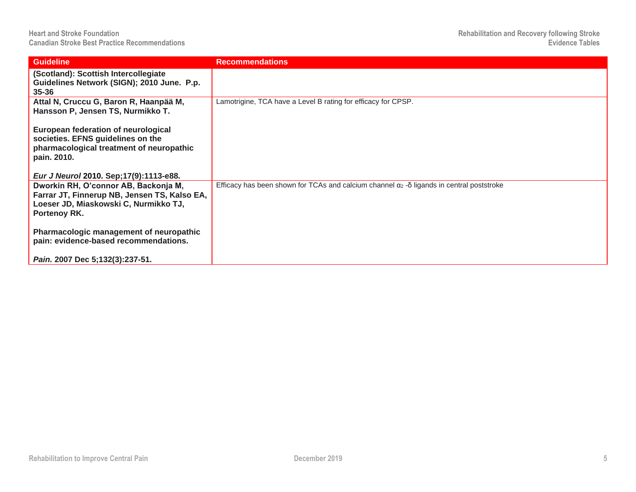| <b>Guideline</b>                                                                                                                              | <b>Recommendations</b>                                                                                   |
|-----------------------------------------------------------------------------------------------------------------------------------------------|----------------------------------------------------------------------------------------------------------|
| (Scotland): Scottish Intercollegiate<br>Guidelines Network (SIGN); 2010 June. P.p.<br>$35 - 36$                                               |                                                                                                          |
| Attal N, Cruccu G, Baron R, Haanpää M,<br>Hansson P, Jensen TS, Nurmikko T.                                                                   | Lamotrigine, TCA have a Level B rating for efficacy for CPSP.                                            |
| European federation of neurological<br>societies. EFNS guidelines on the<br>pharmacological treatment of neuropathic<br>pain. 2010.           |                                                                                                          |
| Eur J Neurol 2010. Sep; 17(9): 1113-e88.                                                                                                      |                                                                                                          |
| Dworkin RH, O'connor AB, Backonja M,<br>Farrar JT, Finnerup NB, Jensen TS, Kalso EA,<br>Loeser JD, Miaskowski C, Nurmikko TJ,<br>Portenoy RK. | Efficacy has been shown for TCAs and calcium channel $\alpha_2$ - $\delta$ ligands in central poststroke |
| Pharmacologic management of neuropathic<br>pain: evidence-based recommendations.                                                              |                                                                                                          |
| Pain. 2007 Dec 5;132(3):237-51.                                                                                                               |                                                                                                          |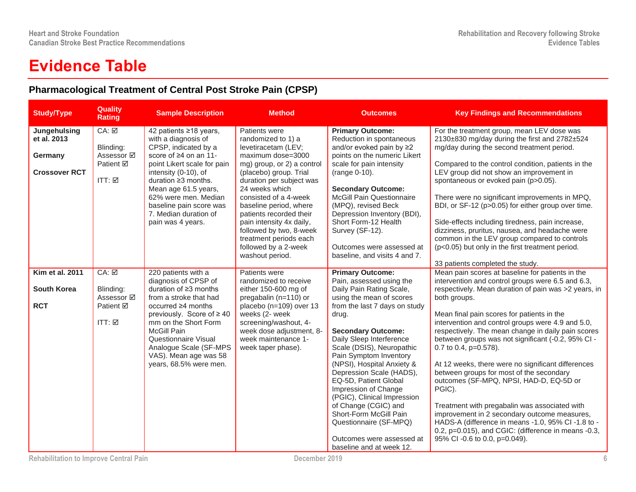## **Evidence Table**

#### <span id="page-5-0"></span>**Pharmacological Treatment of Central Post Stroke Pain (CPSP)**

| <b>Study/Type</b>                                              | <b>Quality</b><br><b>Rating</b>                                     | <b>Sample Description</b>                                                                                                                                                                                                                                                                    | <b>Method</b>                                                                                                                                                                                                                                                       | <b>Outcomes</b>                                                                                                                                                                                                                                                                                                                                                                                                                                                                                                                                      | <b>Key Findings and Recommendations</b>                                                                                                                                                                                                                                                                                                                                                                                                                                                                                                                                                                                                                                                                                                                                                                                           |
|----------------------------------------------------------------|---------------------------------------------------------------------|----------------------------------------------------------------------------------------------------------------------------------------------------------------------------------------------------------------------------------------------------------------------------------------------|---------------------------------------------------------------------------------------------------------------------------------------------------------------------------------------------------------------------------------------------------------------------|------------------------------------------------------------------------------------------------------------------------------------------------------------------------------------------------------------------------------------------------------------------------------------------------------------------------------------------------------------------------------------------------------------------------------------------------------------------------------------------------------------------------------------------------------|-----------------------------------------------------------------------------------------------------------------------------------------------------------------------------------------------------------------------------------------------------------------------------------------------------------------------------------------------------------------------------------------------------------------------------------------------------------------------------------------------------------------------------------------------------------------------------------------------------------------------------------------------------------------------------------------------------------------------------------------------------------------------------------------------------------------------------------|
| Jungehulsing<br>et al. 2013<br>Germany<br><b>Crossover RCT</b> | CA: ☑<br>Blinding:<br>Assessor Ø<br><b>Patient</b> Ø<br>ITT: ☑      | 42 patients ≥18 years,<br>with a diagnosis of<br>CPSP, indicated by a<br>score of ≥4 on an 11-<br>point Likert scale for pain<br>intensity (0-10), of<br>duration ≥3 months.<br>Mean age 61.5 years,<br>62% were men. Median<br>baseline pain score was<br>7. Median duration of             | Patients were<br>randomized to 1) a<br>levetiracetam (LEV;<br>maximum dose=3000<br>mg) group, or 2) a control<br>(placebo) group. Trial<br>duration per subject was<br>24 weeks which<br>consisted of a 4-week<br>baseline period, where<br>patients recorded their | <b>Primary Outcome:</b><br>Reduction in spontaneous<br>and/or evoked pain by ≥2<br>points on the numeric Likert<br>scale for pain intensity<br>(range 0-10).<br><b>Secondary Outcome:</b><br><b>McGill Pain Questionnaire</b><br>(MPQ), revised Beck<br>Depression Inventory (BDI),                                                                                                                                                                                                                                                                  | For the treatment group, mean LEV dose was<br>2130±830 mg/day during the first and 2782±524<br>mg/day during the second treatment period.<br>Compared to the control condition, patients in the<br>LEV group did not show an improvement in<br>spontaneous or evoked pain (p>0.05).<br>There were no significant improvements in MPQ,<br>BDI, or SF-12 (p>0.05) for either group over time.                                                                                                                                                                                                                                                                                                                                                                                                                                       |
|                                                                |                                                                     | pain was 4 years.                                                                                                                                                                                                                                                                            | pain intensity 4x daily,<br>followed by two, 8-week<br>treatment periods each<br>followed by a 2-week<br>washout period.                                                                                                                                            | Short Form-12 Health<br>Survey (SF-12).<br>Outcomes were assessed at<br>baseline, and visits 4 and 7.                                                                                                                                                                                                                                                                                                                                                                                                                                                | Side-effects including tiredness, pain increase,<br>dizziness, pruritus, nausea, and headache were<br>common in the LEV group compared to controls<br>(p<0.05) but only in the first treatment period.<br>33 patients completed the study.                                                                                                                                                                                                                                                                                                                                                                                                                                                                                                                                                                                        |
| <b>Kim et al. 2011</b><br><b>South Korea</b><br><b>RCT</b>     | $CA: \Box$<br>Blinding:<br>Assessor Ø<br><b>Patient</b> Ø<br>ITT: ☑ | 220 patients with a<br>diagnosis of CPSP of<br>duration of ≥3 months<br>from a stroke that had<br>occurred ≥4 months<br>previously. Score of ≥40<br>mm on the Short Form<br>McGill Pain<br>Questionnaire Visual<br>Analogue Scale (SF-MPS<br>VAS). Mean age was 58<br>years, 68.5% were men. | Patients were<br>randomized to receive<br>either 150-600 mg of<br>pregabalin (n=110) or<br>placebo (n=109) over 13<br>weeks (2- week<br>screening/washout, 4-<br>week dose adjustment, 8-<br>week maintenance 1-<br>week taper phase).                              | <b>Primary Outcome:</b><br>Pain, assessed using the<br>Daily Pain Rating Scale,<br>using the mean of scores<br>from the last 7 days on study<br>drug.<br><b>Secondary Outcome:</b><br>Daily Sleep Interference<br>Scale (DSIS), Neuropathic<br>Pain Symptom Inventory<br>(NPSI), Hospital Anxiety &<br>Depression Scale (HADS),<br>EQ-5D, Patient Global<br>Impression of Change<br>(PGIC), Clinical Impression<br>of Change (CGIC) and<br>Short-Form McGill Pain<br>Questionnaire (SF-MPQ)<br>Outcomes were assessed at<br>baseline and at week 12. | Mean pain scores at baseline for patients in the<br>intervention and control groups were 6.5 and 6.3,<br>respectively. Mean duration of pain was >2 years, in<br>both groups.<br>Mean final pain scores for patients in the<br>intervention and control groups were 4.9 and 5.0,<br>respectively. The mean change in daily pain scores<br>between groups was not significant (-0.2, 95% CI -<br>0.7 to 0.4, $p=0.578$ ).<br>At 12 weeks, there were no significant differences<br>between groups for most of the secondary<br>outcomes (SF-MPQ, NPSI, HAD-D, EQ-5D or<br>PGIC).<br>Treatment with pregabalin was associated with<br>improvement in 2 secondary outcome measures,<br>HADS-A (difference in means -1.0, 95% CI -1.8 to -<br>0.2, $p=0.015$ ), and CGIC: (difference in means -0.3,<br>95% CI -0.6 to 0.0, p=0.049). |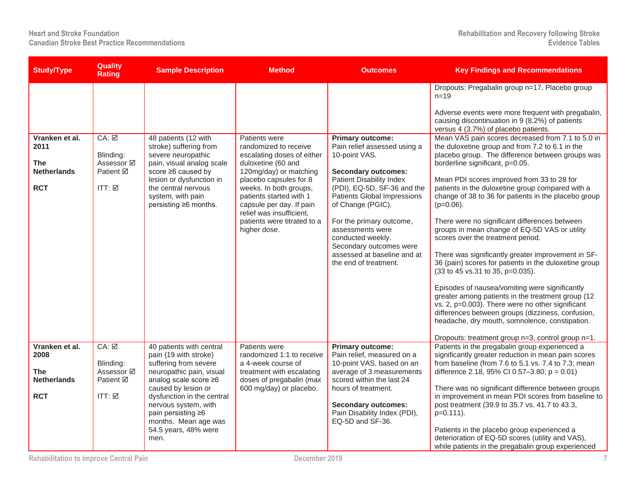| <b>Study/Type</b>                                                        | <b>Quality</b><br><b>Rating</b>                                                                      | <b>Sample Description</b>                                                                                                                                                                                                                                                                  | <b>Method</b>                                                                                                                                                                                                                                                                                              | <b>Outcomes</b>                                                                                                                                                                                                                                                                                                                                                                      | <b>Key Findings and Recommendations</b>                                                                                                                                                                                                                                                                                                                                                                                                                                                                                                                                                                                                                                                                                                                                                                                                                                                                                                                                                                                                                                                                                                                                                               |
|--------------------------------------------------------------------------|------------------------------------------------------------------------------------------------------|--------------------------------------------------------------------------------------------------------------------------------------------------------------------------------------------------------------------------------------------------------------------------------------------|------------------------------------------------------------------------------------------------------------------------------------------------------------------------------------------------------------------------------------------------------------------------------------------------------------|--------------------------------------------------------------------------------------------------------------------------------------------------------------------------------------------------------------------------------------------------------------------------------------------------------------------------------------------------------------------------------------|-------------------------------------------------------------------------------------------------------------------------------------------------------------------------------------------------------------------------------------------------------------------------------------------------------------------------------------------------------------------------------------------------------------------------------------------------------------------------------------------------------------------------------------------------------------------------------------------------------------------------------------------------------------------------------------------------------------------------------------------------------------------------------------------------------------------------------------------------------------------------------------------------------------------------------------------------------------------------------------------------------------------------------------------------------------------------------------------------------------------------------------------------------------------------------------------------------|
| Vranken et al.<br>2011<br>The<br><b>Netherlands</b><br><b>RCT</b>        | $CA: \overline{\boxtimes}$<br>Blinding:<br>Assessor <b>Ø</b><br><b>Patient Ø</b><br>$ITT: \boxed{2}$ | 48 patients (12 with<br>stroke) suffering from<br>severe neuropathic<br>pain, visual analog scale<br>score ≥6 caused by<br>lesion or dysfunction in<br>the central nervous<br>system, with pain<br>persisting ≥6 months.                                                                   | Patients were<br>randomized to receive<br>escalating doses of either<br>duloxetine (60 and<br>120mg/day) or matching<br>placebo capsules for 8<br>weeks. In both groups,<br>patients started with 1<br>capsule per day. If pain<br>relief was insufficient,<br>patients were titrated to a<br>higher dose. | <b>Primary outcome:</b><br>Pain relief assessed using a<br>10-point VAS.<br><b>Secondary outcomes:</b><br><b>Patient Disability Index</b><br>(PDI), EQ-5D, SF-36 and the<br>Patients Global Impressions<br>of Change (PGIC).<br>For the primary outcome,<br>assessments were<br>conducted weekly.<br>Secondary outcomes were<br>assessed at baseline and at<br>the end of treatment. | Dropouts: Pregabalin group n=17, Placebo group<br>$n = 19$<br>Adverse events were more frequent with pregabalin,<br>causing discontinuation in 9 (8.2%) of patients<br>versus 4 (3.7%) of placebo patients.<br>Mean VAS pain scores decreased from 7.1 to 5.0 in<br>the duloxetine group and from 7.2 to 6.1 in the<br>placebo group. The difference between groups was<br>borderline significant, p=0.05.<br>Mean PDI scores improved from 33 to 28 for<br>patients in the duloxetine group compared with a<br>change of 38 to 36 for patients in the placebo group<br>$(p=0.06)$ .<br>There were no significant differences between<br>groups in mean change of EQ-5D VAS or utility<br>scores over the treatment period.<br>There was significantly greater improvement in SF-<br>36 (pain) scores for patients in the duloxetine group<br>(33 to 45 vs.31 to 35, p=0.035).<br>Episodes of nausea/vomiting were significantly<br>greater among patients in the treatment group (12<br>vs. 2, p=0.003). There were no other significant<br>differences between groups (dizziness, confusion,<br>headache, dry mouth, somnolence, constipation.<br>Dropouts: treatment group n=3, control group n=1. |
| Vranken et al.<br>2008<br><b>The</b><br><b>Netherlands</b><br><b>RCT</b> | CA: ☑<br>Blinding:<br>Assessor <b>Ø</b><br><b>Patient Ø</b><br>ITT: $\boxtimes$                      | 40 patients with central<br>pain (19 with stroke)<br>suffering from severe<br>neuropathic pain, visual<br>analog scale score ≥6<br>caused by lesion or<br>dysfunction in the central<br>nervous system, with<br>pain persisting ≥6<br>months. Mean age was<br>54.5 years, 48% were<br>men. | Patients were<br>randomized 1:1 to receive<br>a 4-week course of<br>treatment with escalating<br>doses of pregabalin (max<br>600 mg/day) or placebo.                                                                                                                                                       | <b>Primary outcome:</b><br>Pain relief, measured on a<br>10-point VAS, based on an<br>average of 3 measurements<br>scored within the last 24<br>hours of treatment.<br><b>Secondary outcomes:</b><br>Pain Disability Index (PDI),<br>EQ-5D and SF-36.                                                                                                                                | Patients in the pregabalin group experienced a<br>significantly greater reduction in mean pain scores<br>from baseline (from 7.6 to 5.1 vs. 7.4 to 7.3; mean<br>difference 2.18, 95% CI 0.57-3.80; $p = 0.01$ )<br>There was no significant difference between groups<br>in improvement in mean PDI scores from baseline to<br>post treatment (39.9 to 35.7 vs. 41.7 to 43.3,<br>$p=0.111$ ).<br>Patients in the placebo group experienced a<br>deterioration of EQ-5D scores (utility and VAS),<br>while patients in the pregabalin group experienced                                                                                                                                                                                                                                                                                                                                                                                                                                                                                                                                                                                                                                                |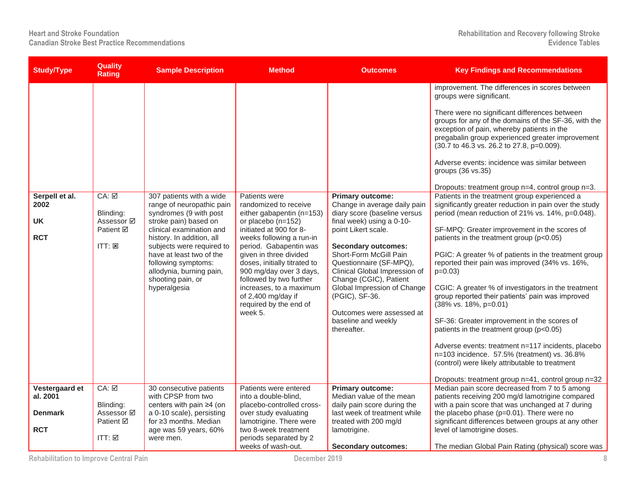| <b>Study/Type</b>                                          | <b>Quality</b><br><b>Rating</b>                                          | <b>Sample Description</b>                                                                                                                                                                                                                                                                                          | <b>Method</b>                                                                                                                                                                                                                                                                                                                                                                    | <b>Outcomes</b>                                                                                                                                                                                                                                                                                                                                                                                               | <b>Key Findings and Recommendations</b>                                                                                                                                                                                                                                                                                                                                                                                                                                                                                                                                                                                                                                                                                                                                                                                                                                                                                                                                                                                                                                                                                                                                                                                                                                                      |
|------------------------------------------------------------|--------------------------------------------------------------------------|--------------------------------------------------------------------------------------------------------------------------------------------------------------------------------------------------------------------------------------------------------------------------------------------------------------------|----------------------------------------------------------------------------------------------------------------------------------------------------------------------------------------------------------------------------------------------------------------------------------------------------------------------------------------------------------------------------------|---------------------------------------------------------------------------------------------------------------------------------------------------------------------------------------------------------------------------------------------------------------------------------------------------------------------------------------------------------------------------------------------------------------|----------------------------------------------------------------------------------------------------------------------------------------------------------------------------------------------------------------------------------------------------------------------------------------------------------------------------------------------------------------------------------------------------------------------------------------------------------------------------------------------------------------------------------------------------------------------------------------------------------------------------------------------------------------------------------------------------------------------------------------------------------------------------------------------------------------------------------------------------------------------------------------------------------------------------------------------------------------------------------------------------------------------------------------------------------------------------------------------------------------------------------------------------------------------------------------------------------------------------------------------------------------------------------------------|
| Serpell et al.<br>2002<br><b>UK</b><br><b>RCT</b>          | CA: ☑<br>Blinding:<br>Assessor Ø<br><b>Patient Ø</b><br>$ITT: \boxtimes$ | 307 patients with a wide<br>range of neuropathic pain<br>syndromes (9 with post<br>stroke pain) based on<br>clinical examination and<br>history. In addition, all<br>subjects were required to<br>have at least two of the<br>following symptoms:<br>allodynia, burning pain,<br>shooting pain, or<br>hyperalgesia | Patients were<br>randomized to receive<br>either gabapentin (n=153)<br>or placebo (n=152)<br>initiated at 900 for 8-<br>weeks following a run-in<br>period. Gabapentin was<br>given in three divided<br>doses, initially titrated to<br>900 mg/day over 3 days,<br>followed by two further<br>increases, to a maximum<br>of 2,400 mg/day if<br>required by the end of<br>week 5. | <b>Primary outcome:</b><br>Change in average daily pain<br>diary score (baseline versus<br>final week) using a 0-10-<br>point Likert scale.<br><b>Secondary outcomes:</b><br>Short-Form McGill Pain<br>Questionnaire (SF-MPQ),<br>Clinical Global Impression of<br>Change (CGIC), Patient<br>Global Impression of Change<br>(PGIC), SF-36.<br>Outcomes were assessed at<br>baseline and weekly<br>thereafter. | improvement. The differences in scores between<br>groups were significant.<br>There were no significant differences between<br>groups for any of the domains of the SF-36, with the<br>exception of pain, whereby patients in the<br>pregabalin group experienced greater improvement<br>(30.7 to 46.3 vs. 26.2 to 27.8, p=0.009).<br>Adverse events: incidence was similar between<br>groups (36 vs.35)<br>Dropouts: treatment group n=4, control group n=3.<br>Patients in the treatment group experienced a<br>significantly greater reduction in pain over the study<br>period (mean reduction of 21% vs. 14%, p=0.048).<br>SF-MPQ: Greater improvement in the scores of<br>patients in the treatment group (p<0.05)<br>PGIC: A greater % of patients in the treatment group<br>reported their pain was improved (34% vs. 16%,<br>$p=0.03$<br>CGIC: A greater % of investigators in the treatment<br>group reported their patients' pain was improved<br>(38% vs. 18%, p=0.01)<br>SF-36: Greater improvement in the scores of<br>patients in the treatment group (p<0.05)<br>Adverse events: treatment n=117 incidents, placebo<br>n=103 incidence. 57.5% (treatment) vs. 36.8%<br>(control) were likely attributable to treatment<br>Dropouts: treatment group n=41, control group n=32 |
| Vestergaard et<br>al. 2001<br><b>Denmark</b><br><b>RCT</b> | CA: ☑<br>Blinding:<br>Assessor <b>☑</b><br><b>Patient</b> Ø<br>ITT: ☑    | 30 consecutive patients<br>with CPSP from two<br>centers with pain ≥4 (on<br>a 0-10 scale), persisting<br>for $\geq$ 3 months. Median<br>age was 59 years, 60%<br>were men.                                                                                                                                        | Patients were entered<br>into a double-blind,<br>placebo-controlled cross-<br>over study evaluating<br>lamotrigine. There were<br>two 8-week treatment<br>periods separated by 2                                                                                                                                                                                                 | <b>Primary outcome:</b><br>Median value of the mean<br>daily pain score during the<br>last week of treatment while<br>treated with 200 mg/d<br>lamotrigine.                                                                                                                                                                                                                                                   | Median pain score decreased from 7 to 5 among<br>patients receiving 200 mg/d lamotrigine compared<br>with a pain score that was unchanged at 7 during<br>the placebo phase ( $p=0.01$ ). There were no<br>significant differences between groups at any other<br>level of lamotrigine doses.                                                                                                                                                                                                                                                                                                                                                                                                                                                                                                                                                                                                                                                                                                                                                                                                                                                                                                                                                                                                 |
|                                                            |                                                                          |                                                                                                                                                                                                                                                                                                                    | weeks of wash-out.                                                                                                                                                                                                                                                                                                                                                               | Secondary outcomes:                                                                                                                                                                                                                                                                                                                                                                                           | The median Global Pain Rating (physical) score was                                                                                                                                                                                                                                                                                                                                                                                                                                                                                                                                                                                                                                                                                                                                                                                                                                                                                                                                                                                                                                                                                                                                                                                                                                           |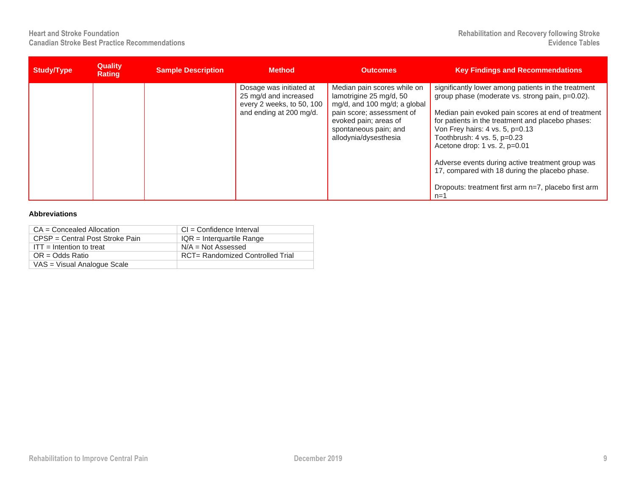| Study/Type | <b>Quality</b><br><b>Rating</b> | <b>Sample Description</b> | <b>Method</b>                                                                                            | <b>Outcomes</b>                                                                                                                                                                                | <b>Key Findings and Recommendations</b>                                                                                                                                                                                                                                                                                     |
|------------|---------------------------------|---------------------------|----------------------------------------------------------------------------------------------------------|------------------------------------------------------------------------------------------------------------------------------------------------------------------------------------------------|-----------------------------------------------------------------------------------------------------------------------------------------------------------------------------------------------------------------------------------------------------------------------------------------------------------------------------|
|            |                                 |                           | Dosage was initiated at<br>25 mg/d and increased<br>every 2 weeks, to 50, 100<br>and ending at 200 mg/d. | Median pain scores while on<br>lamotrigine 25 mg/d, 50<br>mg/d, and 100 mg/d; a global<br>pain score; assessment of<br>evoked pain; areas of<br>spontaneous pain; and<br>allodynia/dysesthesia | significantly lower among patients in the treatment<br>group phase (moderate vs. strong pain, p=0.02).<br>Median pain evoked pain scores at end of treatment<br>for patients in the treatment and placebo phases:<br>Von Frey hairs: 4 vs. 5, p=0.13<br>Toothbrush: $4$ vs. $5$ , $p=0.23$<br>Acetone drop: 1 vs. 2, p=0.01 |
|            |                                 |                           |                                                                                                          |                                                                                                                                                                                                | Adverse events during active treatment group was<br>17, compared with 18 during the placebo phase.<br>Dropouts: treatment first arm n=7, placebo first arm<br>$n=1$                                                                                                                                                         |

#### **Abbreviations**

| $CA =$ Concealed Allocation     | $Cl =$ Confidence Interval       |
|---------------------------------|----------------------------------|
| CPSP = Central Post Stroke Pain | $IQR = Interquartile Range$      |
| $IT = Intention to treat$       | $N/A = Not$ Assessed             |
| $OR = Odds Ratio$               | RCT= Randomized Controlled Trial |
| VAS = Visual Analogue Scale     |                                  |